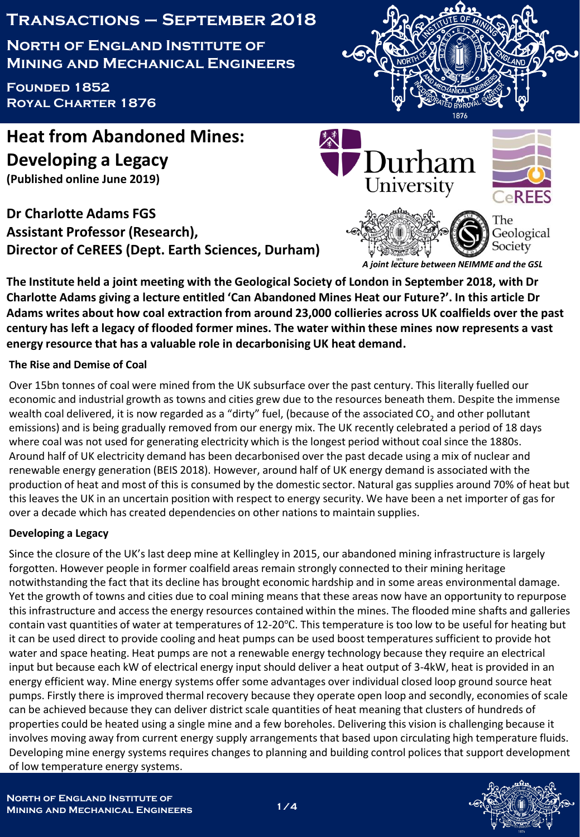# **Transactions – September 2018**

**North of England Institute of Mining and Mechanical Engineers**

**Founded 1852 Royal Charter 1876**



**Heat from Abandoned Mines: Developing a Legacy (Published online June 2019)**

**Dr Charlotte Adams FGS Assistant Professor (Research), Director of CeREES (Dept. Earth Sciences, Durham)**



*A joint lecture between NEIMME and the GSL*

**The Institute held a joint meeting with the Geological Society of London in September 2018, with Dr Charlotte Adams giving a lecture entitled 'Can Abandoned Mines Heat our Future?'. In this article Dr Adams writes about how coal extraction from around 23,000 collieries across UK coalfields over the past century has left a legacy of flooded former mines. The water within these mines now represents a vast energy resource that has a valuable role in decarbonising UK heat demand.**

## **The Rise and Demise of Coal**

Over 15bn tonnes of coal were mined from the UK subsurface over the past century. This literally fuelled our economic and industrial growth as towns and cities grew due to the resources beneath them. Despite the immense wealth coal delivered, it is now regarded as a "dirty" fuel, (because of the associated CO<sub>2</sub> and other pollutant emissions) and is being gradually removed from our energy mix. The UK recently celebrated a period of 18 days where coal was not used for generating electricity which is the longest period without coal since the 1880s. Around half of UK electricity demand has been decarbonised over the past decade using a mix of nuclear and renewable energy generation (BEIS 2018). However, around half of UK energy demand is associated with the production of heat and most of this is consumed by the domestic sector. Natural gas supplies around 70% of heat but this leaves the UK in an uncertain position with respect to energy security. We have been a net importer of gas for over a decade which has created dependencies on other nations to maintain supplies.

## **Developing a Legacy**

Since the closure of the UK's last deep mine at Kellingley in 2015, our abandoned mining infrastructure is largely forgotten. However people in former coalfield areas remain strongly connected to their mining heritage notwithstanding the fact that its decline has brought economic hardship and in some areas environmental damage. Yet the growth of towns and cities due to coal mining means that these areas now have an opportunity to repurpose this infrastructure and access the energy resources contained within the mines. The flooded mine shafts and galleries contain vast quantities of water at temperatures of 12-20℃. This temperature is too low to be useful for heating but it can be used direct to provide cooling and heat pumps can be used boost temperatures sufficient to provide hot water and space heating. Heat pumps are not a renewable energy technology because they require an electrical input but because each kW of electrical energy input should deliver a heat output of 3-4kW, heat is provided in an energy efficient way. Mine energy systems offer some advantages over individual closed loop ground source heat pumps. Firstly there is improved thermal recovery because they operate open loop and secondly, economies of scale can be achieved because they can deliver district scale quantities of heat meaning that clusters of hundreds of properties could be heated using a single mine and a few boreholes. Delivering this vision is challenging because it involves moving away from current energy supply arrangements that based upon circulating high temperature fluids. Developing mine energy systems requires changes to planning and building control polices that support development of low temperature energy systems.

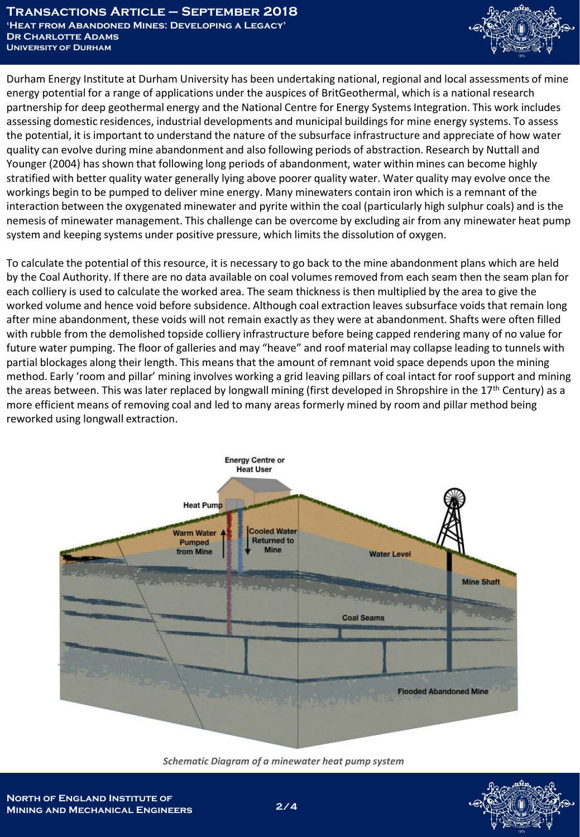

Durham Energy Institute at Durham University has been undertaking national, regional and local assessments of mine energy potential for a range of applications under the auspices of BritGeothermal, which is a national research partnership for deep geothermal energy and the National Centre for Energy Systems Integration. This work includes assessing domestic residences, industrial developments and municipal buildings for mine energy systems. To assess the potential, it is important to understand the nature of the subsurface infrastructure and appreciate of how water quality can evolve during mine abandonment and also following periods of abstraction. Research by Nuttall and Younger (2004) has shown that following long periods of abandonment, water within mines can become highly stratified with better quality water generally lying above poorer quality water. Water quality may evolve once the workings begin to be pumped to deliver mine energy. Many minewaters contain iron which is a remnant of the interaction between the oxygenated minewater and pyrite within the coal (particularly high sulphur coals) and is the nemesis of minewater management. This challenge can be overcome by excluding air from any minewater heat pump system and keeping systems under positive pressure, which limits the dissolution of oxygen.

To calculate the potential of this resource, it is necessary to go back to the mine abandonment plans which are held by the Coal Authority. If there are no data available on coal volumes removed from each seam then the seam plan for each colliery is used to calculate the worked area. The seam thickness is then multiplied by the area to give the worked volume and hence void before subsidence. Although coal extraction leaves subsurface voids that remain long after mine abandonment, these voids will not remain exactly as they were at abandonment. Shafts were often filled with rubble from the demolished topside colliery infrastructure before being capped rendering many of no value for future water pumping. The floor of galleries and may "heave" and roof material may collapse leading to tunnels with partial blockages along their length. This means that the amount of remnant void space depends upon the mining method. Early 'room and pillar' mining involves working a grid leaving pillars of coal intact for roof support and mining the areas between. This was later replaced by longwall mining (first developed in Shropshire in the 17<sup>th</sup> Century) as a more efficient means of removing coal and led to many areas formerly mined by room and pillar method being reworked using longwall extraction.



*Schematic Diagram of a minewater heat pump system*

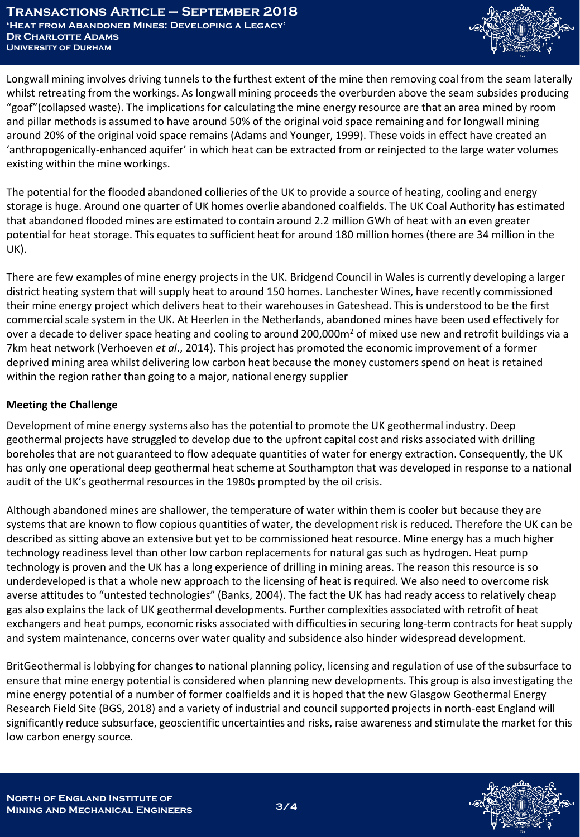

Longwall mining involves driving tunnels to the furthest extent of the mine then removing coal from the seam laterally whilst retreating from the workings. As longwall mining proceeds the overburden above the seam subsides producing "goaf"(collapsed waste). The implications for calculating the mine energy resource are that an area mined by room and pillar methods is assumed to have around 50% of the original void space remaining and for longwall mining around 20% of the original void space remains (Adams and Younger, 1999). These voids in effect have created an 'anthropogenically-enhanced aquifer' in which heat can be extracted from or reinjected to the large water volumes existing within the mine workings.

The potential for the flooded abandoned collieries of the UK to provide a source of heating, cooling and energy storage is huge. Around one quarter of UK homes overlie abandoned coalfields. The UK Coal Authority has estimated that abandoned flooded mines are estimated to contain around 2.2 million GWh of heat with an even greater potential for heat storage. This equates to sufficient heat for around 180 million homes (there are 34 million in the UK).

There are few examples of mine energy projects in the UK. Bridgend Council in Wales is currently developing a larger district heating system that will supply heat to around 150 homes. Lanchester Wines, have recently commissioned their mine energy project which delivers heat to their warehouses in Gateshead. This is understood to be the first commercial scale system in the UK. At Heerlen in the Netherlands, abandoned mines have been used effectively for over a decade to deliver space heating and cooling to around 200,000 $m<sup>2</sup>$  of mixed use new and retrofit buildings via a 7km heat network (Verhoeven *et al*., 2014). This project has promoted the economic improvement of a former deprived mining area whilst delivering low carbon heat because the money customers spend on heat is retained within the region rather than going to a major, national energy supplier

## **Meeting the Challenge**

Development of mine energy systems also has the potential to promote the UK geothermal industry. Deep geothermal projects have struggled to develop due to the upfront capital cost and risks associated with drilling boreholes that are not guaranteed to flow adequate quantities of water for energy extraction. Consequently, the UK has only one operational deep geothermal heat scheme at Southampton that was developed in response to a national audit of the UK's geothermal resources in the 1980s prompted by the oil crisis.

Although abandoned mines are shallower, the temperature of water within them is cooler but because they are systems that are known to flow copious quantities of water, the development risk is reduced. Therefore the UK can be described as sitting above an extensive but yet to be commissioned heat resource. Mine energy has a much higher technology readiness level than other low carbon replacements for natural gas such as hydrogen. Heat pump technology is proven and the UK has a long experience of drilling in mining areas. The reason this resource is so underdeveloped is that a whole new approach to the licensing of heat is required. We also need to overcome risk averse attitudes to "untested technologies" (Banks, 2004). The fact the UK has had ready access to relatively cheap gas also explains the lack of UK geothermal developments. Further complexities associated with retrofit of heat exchangers and heat pumps, economic risks associated with difficulties in securing long-term contracts for heat supply and system maintenance, concerns over water quality and subsidence also hinder widespread development.

BritGeothermal is lobbying for changes to national planning policy, licensing and regulation of use of the subsurface to ensure that mine energy potential is considered when planning new developments. This group is also investigating the mine energy potential of a number of former coalfields and it is hoped that the new Glasgow Geothermal Energy Research Field Site (BGS, 2018) and a variety of industrial and council supported projects in north-east England will significantly reduce subsurface, geoscientific uncertainties and risks, raise awareness and stimulate the market for this low carbon energy source.